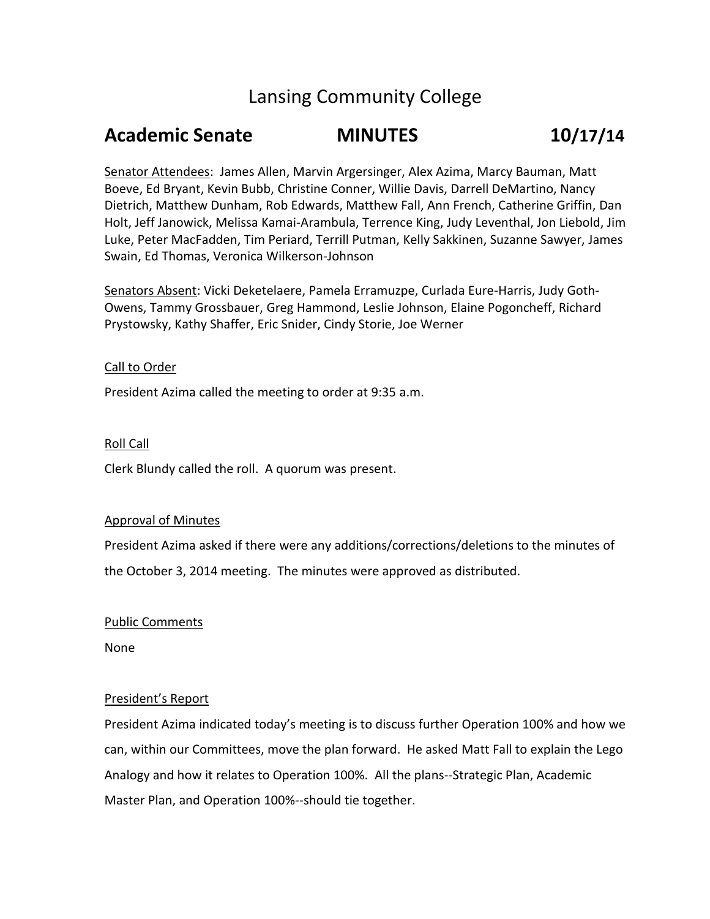# Lansing Community College

# **Academic Senate MINUTES 10/17/14**

Senator Attendees: James Allen, Marvin Argersinger, Alex Azima, Marcy Bauman, Matt Boeve, Ed Bryant, Kevin Bubb, Christine Conner, Willie Davis, Darrell DeMartino, Nancy Dietrich, Matthew Dunham, Rob Edwards, Matthew Fall, Ann French, Catherine Griffin, Dan Holt, Jeff Janowick, Melissa Kamai-Arambula, Terrence King, Judy Leventhal, Jon Liebold, Jim Luke, Peter MacFadden, Tim Periard, Terrill Putman, Kelly Sakkinen, Suzanne Sawyer, James Swain, Ed Thomas, Veronica Wilkerson-Johnson

Senators Absent: Vicki Deketelaere, Pamela Erramuzpe, Curlada Eure-Harris, Judy Goth-Owens, Tammy Grossbauer, Greg Hammond, Leslie Johnson, Elaine Pogoncheff, Richard Prystowsky, Kathy Shaffer, Eric Snider, Cindy Storie, Joe Werner

### Call to Order

President Azima called the meeting to order at 9:35 a.m.

### Roll Call

Clerk Blundy called the roll. A quorum was present.

#### Approval of Minutes

President Azima asked if there were any additions/corrections/deletions to the minutes of the October 3, 2014 meeting. The minutes were approved as distributed.

#### Public Comments

None

## President's Report

President Azima indicated today's meeting is to discuss further Operation 100% and how we can, within our Committees, move the plan forward. He asked Matt Fall to explain the Lego Analogy and how it relates to Operation 100%. All the plans--Strategic Plan, Academic Master Plan, and Operation 100%--should tie together.